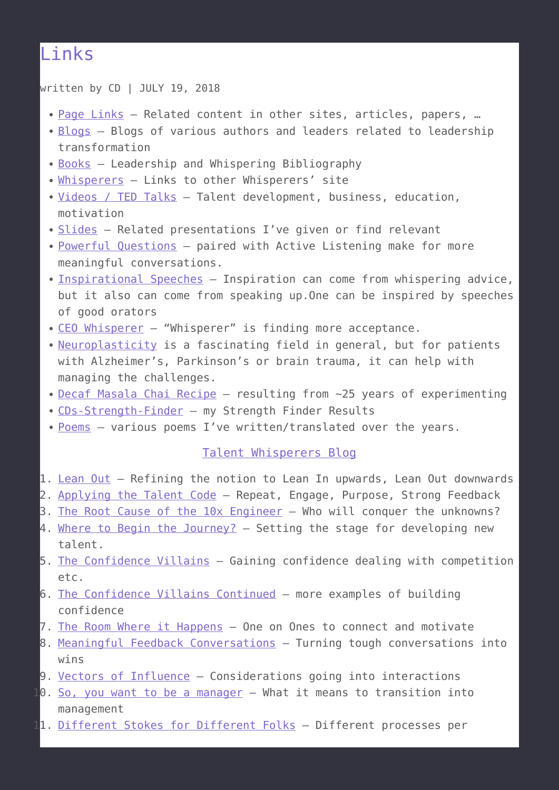## [Links](https://talentwhisperers.com/links/)

written by CD | JULY 19, 2018

- [Page Links](http://talentwhisperers.com/page-links) Related content in other sites, articles, papers, ...
- [Blogs](http://talentwhisperers.com/blogs/)  Blogs of various authors and leaders related to leadership transformation
- [Books](http://TalentWhisperers.com/Books/)  Leadership and Whispering Bibliography
- [Whisperers](http://TalentWhisperers.com/Whisperers) Links to other Whisperers' site
- [Videos / TED Talks](http://talentwhisperers.com/videos-ted-talks/) Talent development, business, education, motivation
- [Slides](http://talentwhisperers.com/slides/)  Related presentations I've given or find relevant
- [Powerful Questions](https://talentwhisperers.com/powerful-questions/) paired with Active Listening make for more meaningful conversations.
- [Inspirational Speeches](https://TalentWhisperers.com/Speeches)  Inspiration can come from whispering advice, but it also can come from speaking up.One can be inspired by speeches of good orators
- [CEO Whisperer](https://TalentWhsiperers.com/CEO-Whisperer) "Whisperer" is finding more acceptance.
- [Neuroplasticity](https://TalentWhisperers.com/Neuroplasticity) is a fascinating field in general, but for patients with Alzheimer's, Parkinson's or brain trauma, it can help with managing the challenges.
- [Decaf Masala Chai Recipe](https://talentwhisperers.com/decaf-masala-chai/)  $-$  resulting from  $\sim$ 25 years of experimenting
- [CDs-Strength-Finder](https://talentwhisperers.com/CD-Strength-Finder/) my Strength Finder Results
- [Poems](https://talentwhisperers.com/Poems)  various poems I've written/translated over the years.

## [Talent Whisperers Blog](http://talentwhisperers.com/category/blog)

- 1. [Lean Out](https://talentwhisperers.com/leanout) Refining the notion to Lean In upwards, Lean Out downwards
- 2. [Applying the Talent Code](https://talentwhisperers.com/talentcode)  Repeat, Engage, Purpose, Strong Feedback
- 3. [The Root Cause of the 10x Engineer](http://talentwhisperers.com/10xEngineers) Who will conquer the unknowns?
- 4. [Where to Begin the Journey?](https://talentwhisperers.com/where-to-begin)  Setting the stage for developing new talent.
- 5. [The Confidence Villains](http://talentwhisperers.com/confidence-villains/) Gaining confidence dealing with competition  $etc.$
- 6. [The Confidence Villains Continued](https://talentwhisperers.com/confidence-villains-2)  more examples of building confidence
- 7. [The Room Where it Happens](https://talentwhisperers.com/roomwhereithappens)  One on Ones to connect and motivate
- 8. [Meaningful Feedback Conversations](http://talentwhisperers.com/RadicalCandor)  Turning tough conversations into wins
- 9. [Vectors of Influence](http://talentwhisperers.com/vectors-of-influence) Considerations going into interactions
- 10. [So, you want to be a manager](http://talentwhisperers.com/so-you-want-to-be-a-manager)  What it means to transition into management
- 11. [Different Stokes for Different Folks](http://talentwhisperers.com/different-stokes) Different processes per